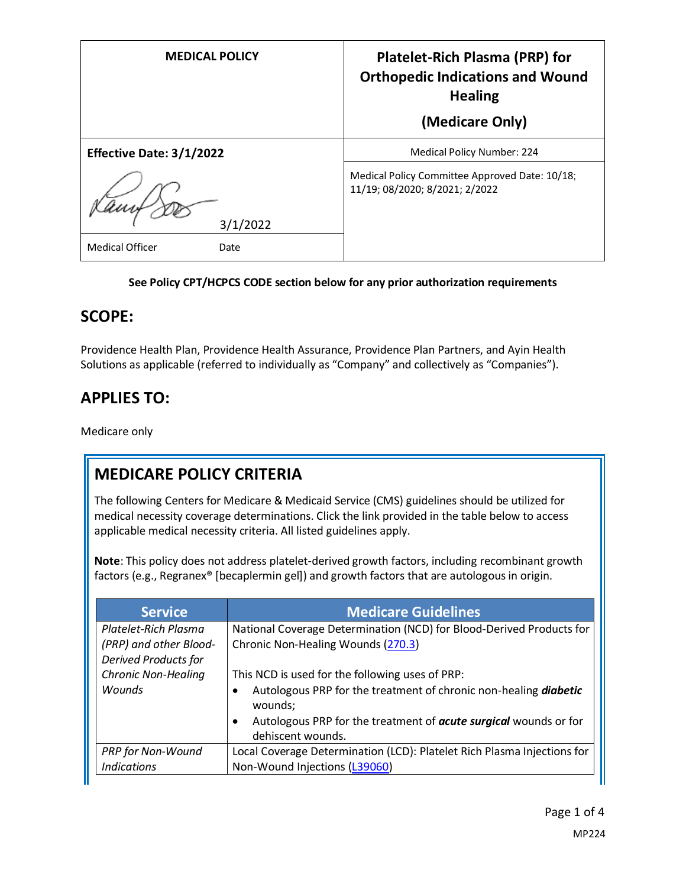| <b>MEDICAL POLICY</b>          | <b>Platelet-Rich Plasma (PRP) for</b><br><b>Orthopedic Indications and Wound</b><br><b>Healing</b><br>(Medicare Only) |
|--------------------------------|-----------------------------------------------------------------------------------------------------------------------|
| Effective Date: 3/1/2022       | Medical Policy Number: 224                                                                                            |
| 3/1/2022                       | Medical Policy Committee Approved Date: 10/18;<br>11/19; 08/2020; 8/2021; 2/2022                                      |
| <b>Medical Officer</b><br>Date |                                                                                                                       |

### **See Policy CPT/HCPCS CODE section below for any prior authorization requirements**

### **SCOPE:**

Providence Health Plan, Providence Health Assurance, Providence Plan Partners, and Ayin Health Solutions as applicable (referred to individually as "Company" and collectively as "Companies").

## **APPLIES TO:**

Medicare only

## **MEDICARE POLICY CRITERIA**

The following Centers for Medicare & Medicaid Service (CMS) guidelines should be utilized for medical necessity coverage determinations. Click the link provided in the table below to access applicable medical necessity criteria. All listed guidelines apply.

**Note**: This policy does not address platelet-derived growth factors, including recombinant growth factors (e.g., Regranex® [becaplermin gel]) and growth factors that are autologous in origin.

| <b>Service</b>              | <b>Medicare Guidelines</b>                                                                   |
|-----------------------------|----------------------------------------------------------------------------------------------|
| Platelet-Rich Plasma        | National Coverage Determination (NCD) for Blood-Derived Products for                         |
| (PRP) and other Blood-      | Chronic Non-Healing Wounds (270.3)                                                           |
| <b>Derived Products for</b> |                                                                                              |
| <b>Chronic Non-Healing</b>  | This NCD is used for the following uses of PRP:                                              |
| <b>Wounds</b>               | Autologous PRP for the treatment of chronic non-healing diabetic<br>wounds;                  |
|                             | Autologous PRP for the treatment of <b>acute surgical</b> wounds or for<br>dehiscent wounds. |
| <b>PRP</b> for Non-Wound    | Local Coverage Determination (LCD): Platelet Rich Plasma Injections for                      |
| <b>Indications</b>          | Non-Wound Injections (L39060)                                                                |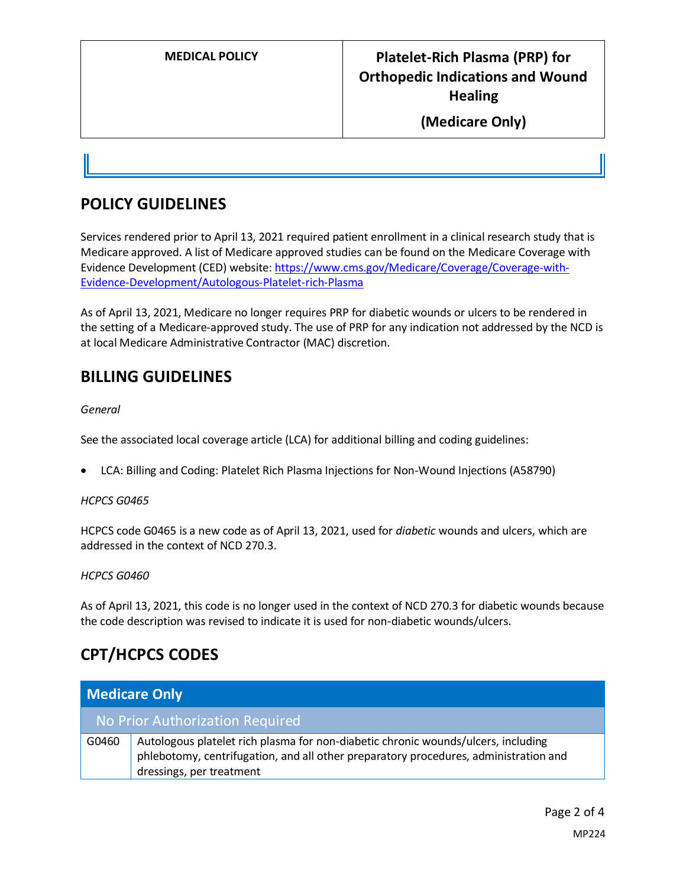# **MEDICAL POLICY Platelet-Rich Plasma (PRP) for Orthopedic Indications and Wound Healing**

### **(Medicare Only)**

### **POLICY GUIDELINES**

Services rendered prior to April 13, 2021 required patient enrollment in a clinical research study that is Medicare approved. A list of Medicare approved studies can be found on the Medicare Coverage with Evidence Development (CED) website: [https://www.cms.gov/Medicare/Coverage/Coverage-with-](https://www.cms.gov/Medicare/Coverage/Coverage-with-Evidence-Development/Autologous-Platelet-rich-Plasma)[Evidence-Development/Autologous-Platelet-rich-Plasma](https://www.cms.gov/Medicare/Coverage/Coverage-with-Evidence-Development/Autologous-Platelet-rich-Plasma)

As of April 13, 2021, Medicare no longer requires PRP for diabetic wounds or ulcers to be rendered in the setting of a Medicare-approved study. The use of PRP for any indication not addressed by the NCD is at local Medicare Administrative Contractor (MAC) discretion.

### **BILLING GUIDELINES**

*General*

See the associated local coverage article (LCA) for additional billing and coding guidelines:

• LCA: Billing and Coding: Platelet Rich Plasma Injections for Non-Wound Injections (A58790)

#### *HCPCS G0465*

HCPCS code G0465 is a new code as of April 13, 2021, used for *diabetic* wounds and ulcers, which are addressed in the context of NCD 270.3.

#### *HCPCS G0460*

As of April 13, 2021, this code is no longer used in the context of NCD 270.3 for diabetic wounds because the code description was revised to indicate it is used for non-diabetic wounds/ulcers.

### **CPT/HCPCS CODES**

| Medicare Only |                                                                                                                                                                                                       |
|---------------|-------------------------------------------------------------------------------------------------------------------------------------------------------------------------------------------------------|
|               | No Prior Authorization Required                                                                                                                                                                       |
| G0460         | Autologous platelet rich plasma for non-diabetic chronic wounds/ulcers, including<br>phlebotomy, centrifugation, and all other preparatory procedures, administration and<br>dressings, per treatment |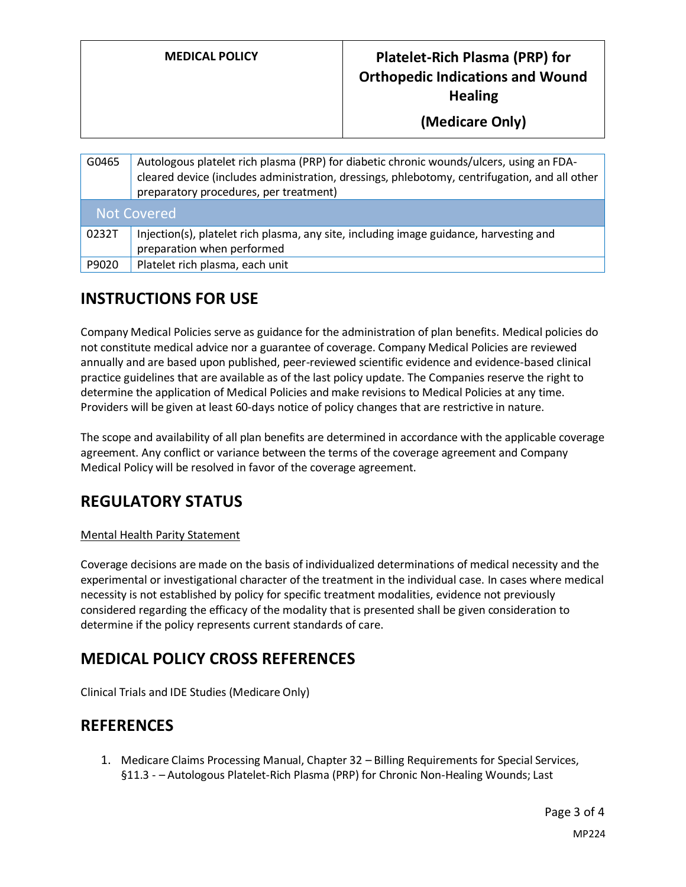## **MEDICAL POLICY Platelet-Rich Plasma (PRP) for Orthopedic Indications and Wound Healing**

**(Medicare Only)**

| G0465              | Autologous platelet rich plasma (PRP) for diabetic chronic wounds/ulcers, using an FDA-<br>cleared device (includes administration, dressings, phlebotomy, centrifugation, and all other<br>preparatory procedures, per treatment) |  |
|--------------------|------------------------------------------------------------------------------------------------------------------------------------------------------------------------------------------------------------------------------------|--|
| <b>Not Covered</b> |                                                                                                                                                                                                                                    |  |
| 0232T              | Injection(s), platelet rich plasma, any site, including image guidance, harvesting and<br>preparation when performed                                                                                                               |  |
| P9020              | Platelet rich plasma, each unit                                                                                                                                                                                                    |  |

# **INSTRUCTIONS FOR USE**

Company Medical Policies serve as guidance for the administration of plan benefits. Medical policies do not constitute medical advice nor a guarantee of coverage. Company Medical Policies are reviewed annually and are based upon published, peer-reviewed scientific evidence and evidence-based clinical practice guidelines that are available as of the last policy update. The Companies reserve the right to determine the application of Medical Policies and make revisions to Medical Policies at any time. Providers will be given at least 60-days notice of policy changes that are restrictive in nature.

The scope and availability of all plan benefits are determined in accordance with the applicable coverage agreement. Any conflict or variance between the terms of the coverage agreement and Company Medical Policy will be resolved in favor of the coverage agreement.

## **REGULATORY STATUS**

### Mental Health Parity Statement

Coverage decisions are made on the basis of individualized determinations of medical necessity and the experimental or investigational character of the treatment in the individual case. In cases where medical necessity is not established by policy for specific treatment modalities, evidence not previously considered regarding the efficacy of the modality that is presented shall be given consideration to determine if the policy represents current standards of care.

## **MEDICAL POLICY CROSS REFERENCES**

Clinical Trials and IDE Studies (Medicare Only)

## **REFERENCES**

1. Medicare Claims Processing Manual, Chapter 32 – Billing Requirements for Special Services, §11.3 - – Autologous Platelet-Rich Plasma (PRP) for Chronic Non-Healing Wounds; Last